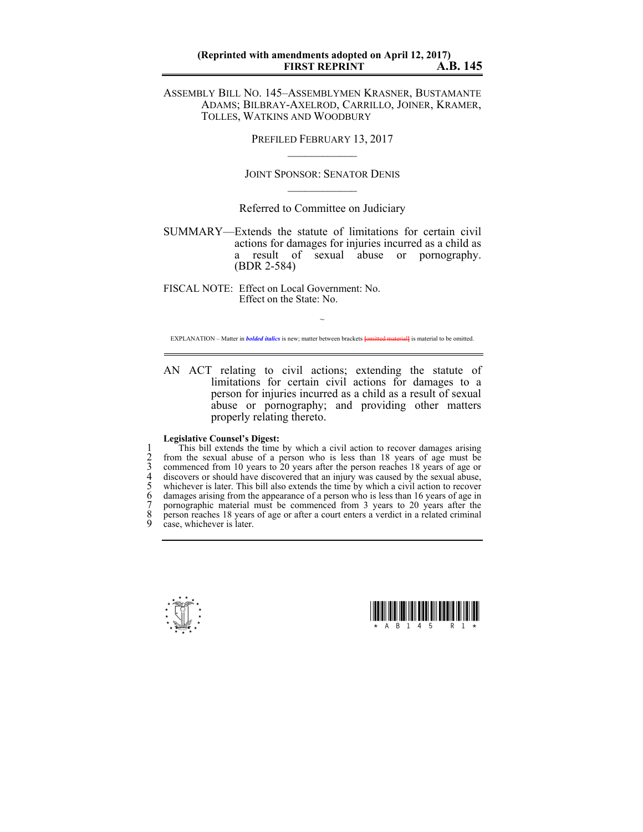ASSEMBLY BILL NO. 145–ASSEMBLYMEN KRASNER, BUSTAMANTE ADAMS; BILBRAY-AXELROD, CARRILLO, JOINER, KRAMER, TOLLES, WATKINS AND WOODBURY

PREFILED FEBRUARY 13, 2017

JOINT SPONSOR: SENATOR DENIS  $\mathcal{L}_\text{max}$ 

Referred to Committee on Judiciary

SUMMARY—Extends the statute of limitations for certain civil actions for damages for injuries incurred as a child as a result of sexual abuse or pornography. (BDR 2-584)

FISCAL NOTE: Effect on Local Government: No. Effect on the State: No.

 $\sim$ EXPLANATION – Matter in *bolded italics* is new; matter between brackets **[**omitted material**]** is material to be omitted.

AN ACT relating to civil actions; extending the statute of limitations for certain civil actions for damages to a person for injuries incurred as a child as a result of sexual abuse or pornography; and providing other matters properly relating thereto.

## **Legislative Counsel's Digest:**

1 This bill extends the time by which a civil action to recover damages arising<br>
2 from the sexual abuse of a person who is less than 18 years of age must be<br>
3 commenced from 10 years to 20 years after the person reaches 2 from the sexual abuse of a person who is less than 18 years of age must be 3 commenced from 10 years to 20 years after the person reaches 18 years of age or 4 discovers or should have discovered that an injury was caused by the sexual abuse, 5 whichever is later. This bill also extends the time by which a civil action to recover damages arising from the appearance of a person who is less than 16 years of age in pornographic material must be commenced from 3 years to 20 years after the 8 person reaches 18 years of age or after a court enters a verdict in a related criminal case, whichever is later.